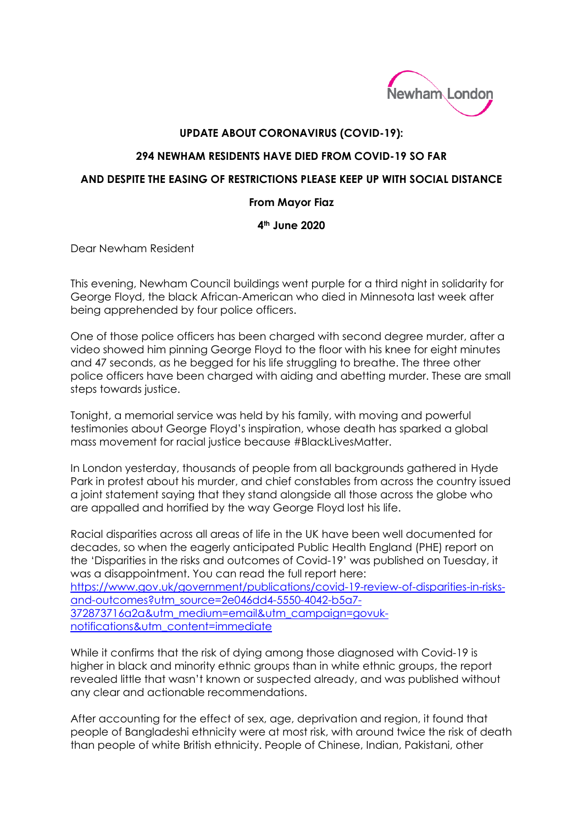

# **UPDATE ABOUT CORONAVIRUS (COVID-19):**

## **294 NEWHAM RESIDENTS HAVE DIED FROM COVID-19 SO FAR**

## **AND DESPITE THE EASING OF RESTRICTIONS PLEASE KEEP UP WITH SOCIAL DISTANCE**

## **From Mayor Fiaz**

# **4th June 2020**

Dear Newham Resident

This evening, Newham Council buildings went purple for a third night in solidarity for George Floyd, the black African-American who died in Minnesota last week after being apprehended by four police officers.

One of those police officers has been charged with second degree murder, after a video showed him pinning George Floyd to the floor with his knee for eight minutes and 47 seconds, as he begged for his life struggling to breathe. The three other police officers have been charged with aiding and abetting murder. These are small steps towards justice.

Tonight, a memorial service was held by his family, with moving and powerful testimonies about George Floyd's inspiration, whose death has sparked a global mass movement for racial justice because #BlackLivesMatter.

In London yesterday, thousands of people from all backgrounds gathered in Hyde Park in protest about his murder, and chief constables from across the country issued a joint statement saying that they stand alongside all those across the globe who are appalled and horrified by the way George Floyd lost his life.

Racial disparities across all areas of life in the UK have been well documented for decades, so when the eagerly anticipated Public Health England (PHE) report on the 'Disparities in the risks and outcomes of Covid-19' was published on Tuesday, it was a disappointment. You can read the full report here: [https://www.gov.uk/government/publications/covid-19-review-of-disparities-in-risks](https://www.gov.uk/government/publications/covid-19-review-of-disparities-in-risks-and-outcomes?utm_source=2e046dd4-5550-4042-b5a7-372873716a2a&utm_medium=email&utm_campaign=govuk-notifications&utm_content=immediate)[and-outcomes?utm\\_source=2e046dd4-5550-4042-b5a7-](https://www.gov.uk/government/publications/covid-19-review-of-disparities-in-risks-and-outcomes?utm_source=2e046dd4-5550-4042-b5a7-372873716a2a&utm_medium=email&utm_campaign=govuk-notifications&utm_content=immediate) [372873716a2a&utm\\_medium=email&utm\\_campaign=govuk-](https://www.gov.uk/government/publications/covid-19-review-of-disparities-in-risks-and-outcomes?utm_source=2e046dd4-5550-4042-b5a7-372873716a2a&utm_medium=email&utm_campaign=govuk-notifications&utm_content=immediate)

[notifications&utm\\_content=immediate](https://www.gov.uk/government/publications/covid-19-review-of-disparities-in-risks-and-outcomes?utm_source=2e046dd4-5550-4042-b5a7-372873716a2a&utm_medium=email&utm_campaign=govuk-notifications&utm_content=immediate)

While it confirms that the risk of dying among those diagnosed with Covid-19 is higher in black and minority ethnic groups than in white ethnic groups, the report revealed little that wasn't known or suspected already, and was published without any clear and actionable recommendations.

After accounting for the effect of sex, age, deprivation and region, it found that people of Bangladeshi ethnicity were at most risk, with around twice the risk of death than people of white British ethnicity. People of Chinese, Indian, Pakistani, other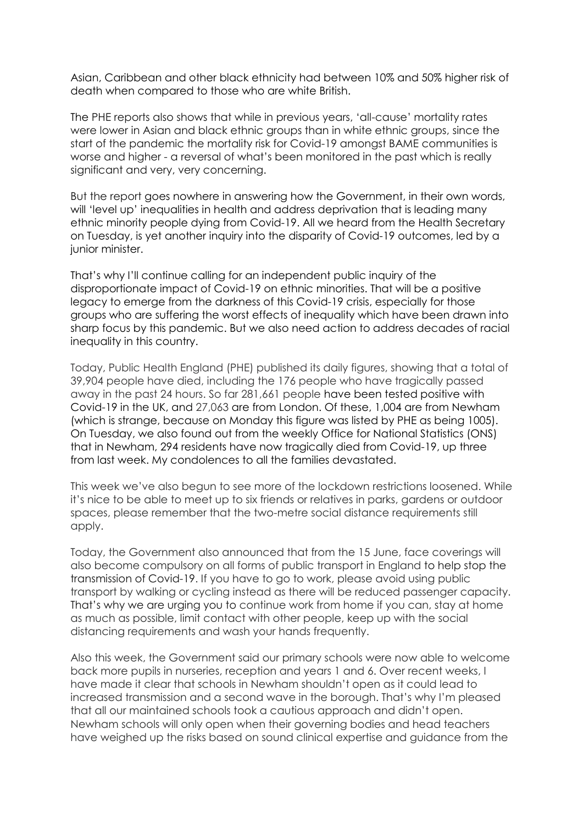Asian, Caribbean and other black ethnicity had between 10% and 50% higher risk of death when compared to those who are white British.

The PHE reports also shows that while in previous years, 'all-cause' mortality rates were lower in Asian and black ethnic groups than in white ethnic groups, since the start of the pandemic the mortality risk for Covid-19 amongst BAME communities is worse and higher - a reversal of what's been monitored in the past which is really significant and very, very concerning.

But the report goes nowhere in answering how the Government, in their own words, will 'level up' inequalities in health and address deprivation that is leading many ethnic minority people dying from Covid-19. All we heard from the Health Secretary on Tuesday, is yet another inquiry into the disparity of Covid-19 outcomes, led by a junior minister.

That's why I'll continue calling for an independent public inquiry of the disproportionate impact of Covid-19 on ethnic minorities. That will be a positive legacy to emerge from the darkness of this Covid-19 crisis, especially for those groups who are suffering the worst effects of inequality which have been drawn into sharp focus by this pandemic. But we also need action to address decades of racial inequality in this country.

Today, Public Health England (PHE) published its daily figures, showing that a total of 39,904 people have died, including the 176 people who have tragically passed away in the past 24 hours. So far 281,661 people have been tested positive with Covid-19 in the UK, and 27,063 are from London. Of these, 1,004 are from Newham (which is strange, because on Monday this figure was listed by PHE as being 1005). On Tuesday, we also found out from the weekly Office for National Statistics (ONS) that in Newham, 294 residents have now tragically died from Covid-19, up three from last week. My condolences to all the families devastated.

This week we've also begun to see more of the lockdown restrictions loosened. While it's nice to be able to meet up to six friends or relatives in parks, gardens or outdoor spaces, please remember that the two-metre social distance requirements still apply.

Today, the Government also announced that from the 15 June, face coverings will also become compulsory on all forms of public transport in England to help stop the transmission of Covid-19. If you have to go to work, please avoid using public transport by walking or cycling instead as there will be reduced passenger capacity. That's why we are urging you to continue work from home if you can, stay at home as much as possible, limit contact with other people, keep up with the social distancing requirements and wash your hands frequently.

Also this week, the Government said our primary schools were now able to welcome back more pupils in nurseries, reception and years 1 and 6. Over recent weeks, I have made it clear that schools in Newham shouldn't open as it could lead to increased transmission and a second wave in the borough. That's why I'm pleased that all our maintained schools took a cautious approach and didn't open. Newham schools will only open when their governing bodies and head teachers have weighed up the risks based on sound clinical expertise and guidance from the